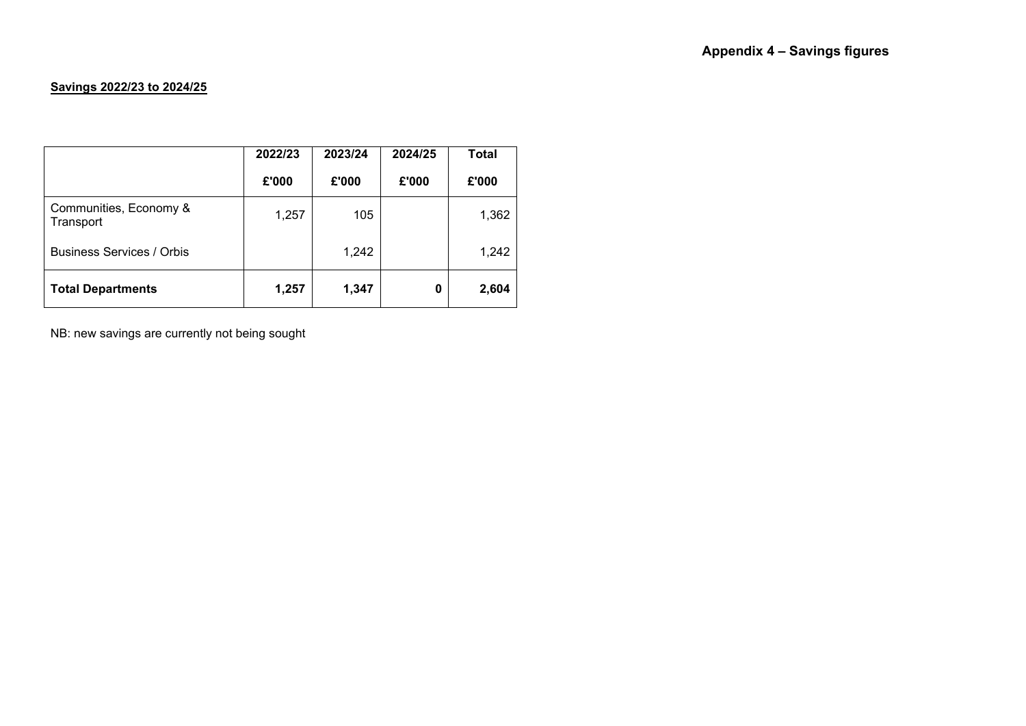## **Savings 2022/23 to 2024/25**

|                                     | 2022/23 | 2023/24 | 2024/25 | <b>Total</b> |
|-------------------------------------|---------|---------|---------|--------------|
|                                     | £'000   | £'000   | £'000   | £'000        |
| Communities, Economy &<br>Transport | 1,257   | 105     |         | 1,362        |
| <b>Business Services / Orbis</b>    |         | 1,242   |         | 1,242        |
| <b>Total Departments</b>            | 1,257   | 1,347   | 0       | 2,604        |

NB: new savings are currently not being sought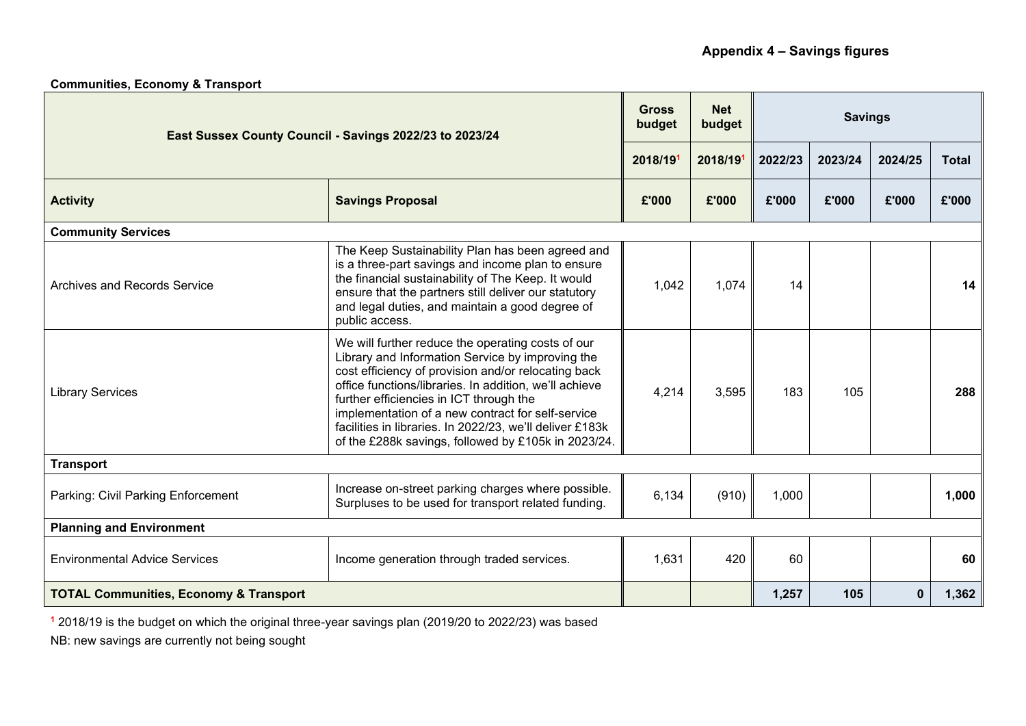| East Sussex County Council - Savings 2022/23 to 2023/24 |                                                                                                                                                                                                                                                                                                                                                                                                                                           | <b>Gross</b><br>budget | <b>Net</b><br>budget | <b>Savings</b> |         |             |              |  |  |
|---------------------------------------------------------|-------------------------------------------------------------------------------------------------------------------------------------------------------------------------------------------------------------------------------------------------------------------------------------------------------------------------------------------------------------------------------------------------------------------------------------------|------------------------|----------------------|----------------|---------|-------------|--------------|--|--|
|                                                         |                                                                                                                                                                                                                                                                                                                                                                                                                                           | 2018/191               | 2018/191             | 2022/23        | 2023/24 | 2024/25     | <b>Total</b> |  |  |
| <b>Activity</b>                                         | <b>Savings Proposal</b>                                                                                                                                                                                                                                                                                                                                                                                                                   | £'000                  | £'000                | £'000          | £'000   | £'000       | £'000        |  |  |
| <b>Community Services</b>                               |                                                                                                                                                                                                                                                                                                                                                                                                                                           |                        |                      |                |         |             |              |  |  |
| <b>Archives and Records Service</b>                     | The Keep Sustainability Plan has been agreed and<br>is a three-part savings and income plan to ensure<br>the financial sustainability of The Keep. It would<br>ensure that the partners still deliver our statutory<br>and legal duties, and maintain a good degree of<br>public access.                                                                                                                                                  | 1,042                  | 1,074                | 14             |         |             | 14           |  |  |
| <b>Library Services</b>                                 | We will further reduce the operating costs of our<br>Library and Information Service by improving the<br>cost efficiency of provision and/or relocating back<br>office functions/libraries. In addition, we'll achieve<br>further efficiencies in ICT through the<br>implementation of a new contract for self-service<br>facilities in libraries. In 2022/23, we'll deliver £183k<br>of the £288k savings, followed by £105k in 2023/24. | 4,214                  | 3,595                | 183            | 105     |             | 288          |  |  |
| <b>Transport</b>                                        |                                                                                                                                                                                                                                                                                                                                                                                                                                           |                        |                      |                |         |             |              |  |  |
| Parking: Civil Parking Enforcement                      | Increase on-street parking charges where possible.<br>Surpluses to be used for transport related funding.                                                                                                                                                                                                                                                                                                                                 | 6,134                  | (910)                | 1,000          |         |             | 1,000        |  |  |
| <b>Planning and Environment</b>                         |                                                                                                                                                                                                                                                                                                                                                                                                                                           |                        |                      |                |         |             |              |  |  |
| <b>Environmental Advice Services</b>                    | Income generation through traded services.                                                                                                                                                                                                                                                                                                                                                                                                | 1,631                  | 420                  | 60             |         |             | 60           |  |  |
| <b>TOTAL Communities, Economy &amp; Transport</b>       |                                                                                                                                                                                                                                                                                                                                                                                                                                           |                        |                      | 1,257          | 105     | $\mathbf 0$ | 1,362        |  |  |

**Communities, Economy & Transport** 

**<sup>1</sup>** 2018/19 is the budget on which the original three-year savings plan (2019/20 to 2022/23) was based

NB: new savings are currently not being sought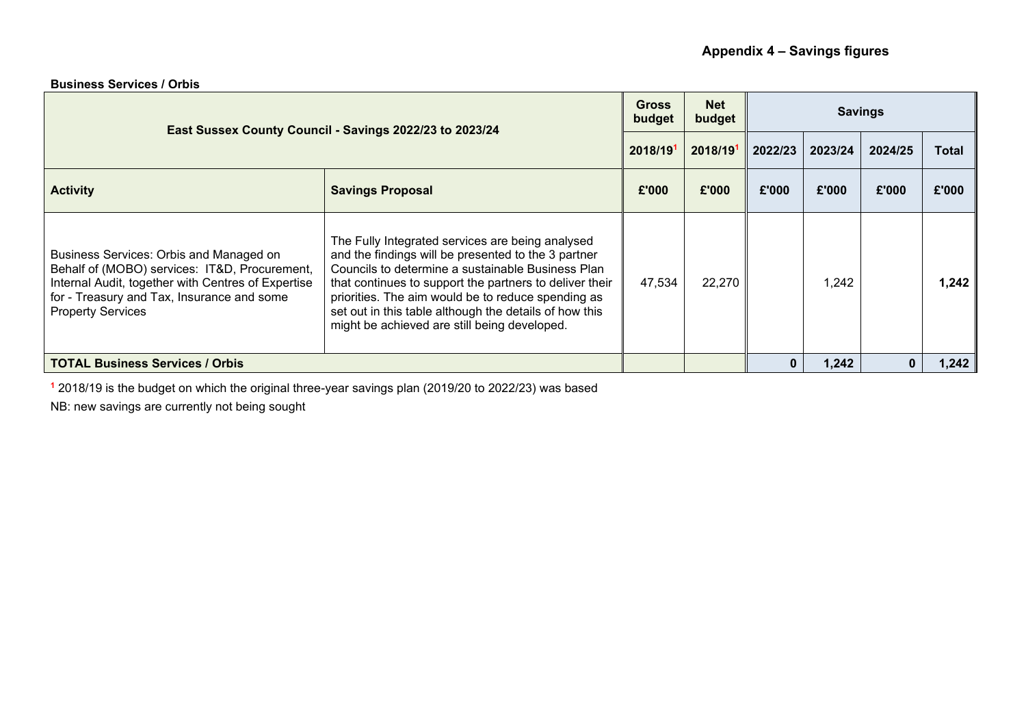| <b>Business Services / Orbis</b> |  |  |  |
|----------------------------------|--|--|--|
|----------------------------------|--|--|--|

| East Sussex County Council - Savings 2022/23 to 2023/24                                                                                                                                                                  |                                                                                                                                                                                                                                                                                                                                                                                         |          | <b>Net</b><br>budget | <b>Savings</b> |         |         |       |  |
|--------------------------------------------------------------------------------------------------------------------------------------------------------------------------------------------------------------------------|-----------------------------------------------------------------------------------------------------------------------------------------------------------------------------------------------------------------------------------------------------------------------------------------------------------------------------------------------------------------------------------------|----------|----------------------|----------------|---------|---------|-------|--|
|                                                                                                                                                                                                                          |                                                                                                                                                                                                                                                                                                                                                                                         | 2018/191 | 2018/191             | 2022/23        | 2023/24 | 2024/25 | Total |  |
| <b>Activity</b>                                                                                                                                                                                                          | <b>Savings Proposal</b>                                                                                                                                                                                                                                                                                                                                                                 | £'000    | £'000                | £'000          | £'000   | £'000   | £'000 |  |
| Business Services: Orbis and Managed on<br>Behalf of (MOBO) services: IT&D, Procurement,<br>Internal Audit, together with Centres of Expertise<br>for - Treasury and Tax, Insurance and some<br><b>Property Services</b> | The Fully Integrated services are being analysed<br>and the findings will be presented to the 3 partner<br>Councils to determine a sustainable Business Plan<br>that continues to support the partners to deliver their<br>priorities. The aim would be to reduce spending as<br>set out in this table although the details of how this<br>might be achieved are still being developed. | 47,534   | 22,270               |                | 1,242   |         | 1.242 |  |
| <b>TOTAL Business Services / Orbis</b>                                                                                                                                                                                   |                                                                                                                                                                                                                                                                                                                                                                                         |          |                      | 0              | 1,242   | 0       | 1,242 |  |

**<sup>1</sup>** 2018/19 is the budget on which the original three-year savings plan (2019/20 to 2022/23) was based

NB: new savings are currently not being sought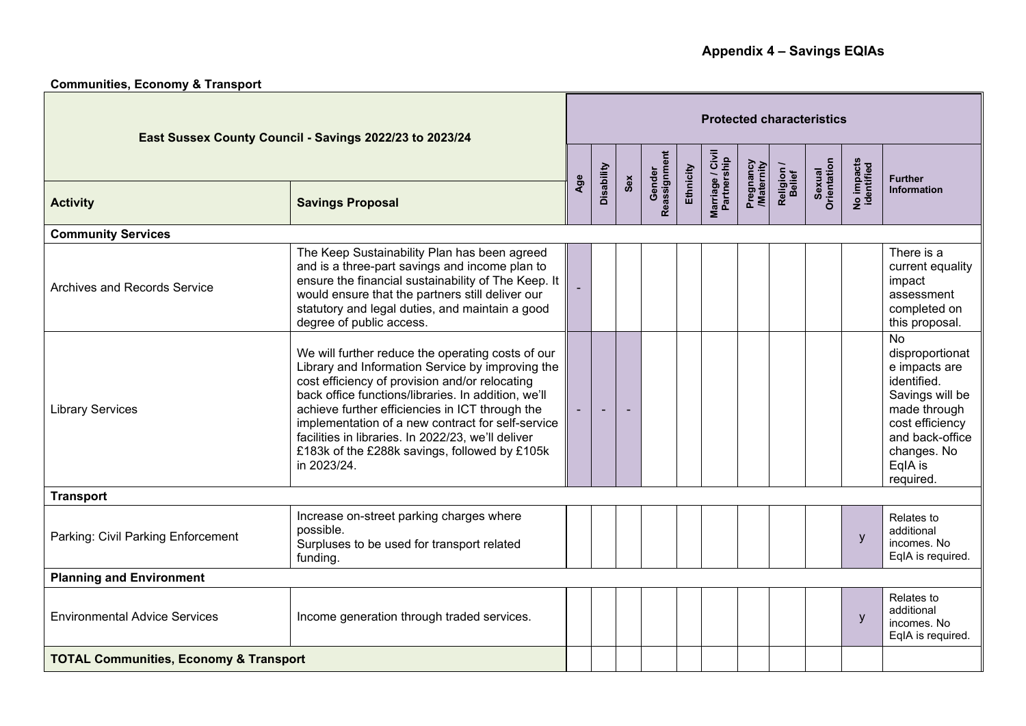## **Communities, Economy & Transport**

| East Sussex County Council - Savings 2022/23 to 2023/24 |                                                                                                                                                                                                                                                                                                                                                                                                                                              |     | <b>Protected characteristics</b> |     |                        |           |                                 |                        |                      |                       |                          |                                                                                                                                                                                   |
|---------------------------------------------------------|----------------------------------------------------------------------------------------------------------------------------------------------------------------------------------------------------------------------------------------------------------------------------------------------------------------------------------------------------------------------------------------------------------------------------------------------|-----|----------------------------------|-----|------------------------|-----------|---------------------------------|------------------------|----------------------|-----------------------|--------------------------|-----------------------------------------------------------------------------------------------------------------------------------------------------------------------------------|
|                                                         |                                                                                                                                                                                                                                                                                                                                                                                                                                              |     |                                  |     |                        | Ethnicity |                                 |                        |                      |                       |                          | <b>Further</b>                                                                                                                                                                    |
| <b>Activity</b>                                         | <b>Savings Proposal</b>                                                                                                                                                                                                                                                                                                                                                                                                                      | Age | Disability                       | Sex | Gender<br>Reassignment |           | Marriage / Civil<br>Partnership | Pregnancy<br>Maternity | Religion /<br>Belief | Sexual<br>Orientation | No impacts<br>identified | <b>Information</b>                                                                                                                                                                |
| <b>Community Services</b>                               |                                                                                                                                                                                                                                                                                                                                                                                                                                              |     |                                  |     |                        |           |                                 |                        |                      |                       |                          |                                                                                                                                                                                   |
| <b>Archives and Records Service</b>                     | The Keep Sustainability Plan has been agreed<br>and is a three-part savings and income plan to<br>ensure the financial sustainability of The Keep. It<br>would ensure that the partners still deliver our<br>statutory and legal duties, and maintain a good<br>degree of public access.                                                                                                                                                     |     |                                  |     |                        |           |                                 |                        |                      |                       |                          | There is a<br>current equality<br>impact<br>assessment<br>completed on<br>this proposal.                                                                                          |
| <b>Library Services</b>                                 | We will further reduce the operating costs of our<br>Library and Information Service by improving the<br>cost efficiency of provision and/or relocating<br>back office functions/libraries. In addition, we'll<br>achieve further efficiencies in ICT through the<br>implementation of a new contract for self-service<br>facilities in libraries. In 2022/23, we'll deliver<br>£183k of the £288k savings, followed by £105k<br>in 2023/24. |     |                                  |     |                        |           |                                 |                        |                      |                       |                          | $\overline{N}$<br>disproportionat<br>e impacts are<br>identified.<br>Savings will be<br>made through<br>cost efficiency<br>and back-office<br>changes. No<br>EqlA is<br>required. |
| <b>Transport</b>                                        |                                                                                                                                                                                                                                                                                                                                                                                                                                              |     |                                  |     |                        |           |                                 |                        |                      |                       |                          |                                                                                                                                                                                   |
| Parking: Civil Parking Enforcement                      | Increase on-street parking charges where<br>possible.<br>Surpluses to be used for transport related<br>funding.                                                                                                                                                                                                                                                                                                                              |     |                                  |     |                        |           |                                 |                        |                      |                       | y                        | Relates to<br>additional<br>incomes. No<br>EqIA is required.                                                                                                                      |
| <b>Planning and Environment</b>                         |                                                                                                                                                                                                                                                                                                                                                                                                                                              |     |                                  |     |                        |           |                                 |                        |                      |                       |                          |                                                                                                                                                                                   |
| <b>Environmental Advice Services</b>                    | Income generation through traded services.                                                                                                                                                                                                                                                                                                                                                                                                   |     |                                  |     |                        |           |                                 |                        |                      |                       | y                        | Relates to<br>additional<br>incomes. No<br>EqIA is required.                                                                                                                      |
| <b>TOTAL Communities, Economy &amp; Transport</b>       |                                                                                                                                                                                                                                                                                                                                                                                                                                              |     |                                  |     |                        |           |                                 |                        |                      |                       |                          |                                                                                                                                                                                   |